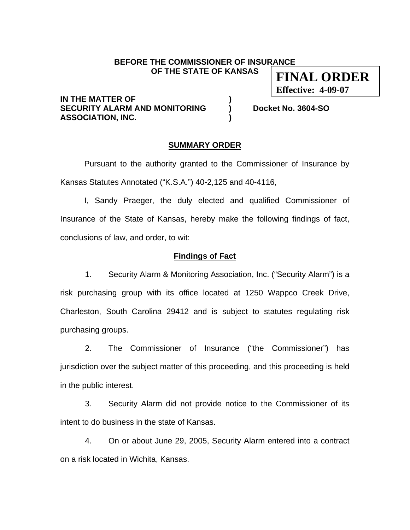#### **BEFORE THE COMMISSIONER OF INSURANCE OF THE STATE OF KANSAS FINAL ORDER**

**IN THE MATTER OF SECURITY ALARM AND MONITORING ) Docket No. 3604-SO ASSOCIATION, INC. )** 

**Effective: 4-09-07**

## **SUMMARY ORDER**

 Pursuant to the authority granted to the Commissioner of Insurance by Kansas Statutes Annotated ("K.S.A.") 40-2,125 and 40-4116,

 I, Sandy Praeger, the duly elected and qualified Commissioner of Insurance of the State of Kansas, hereby make the following findings of fact, conclusions of law, and order, to wit:

## **Findings of Fact**

1. Security Alarm & Monitoring Association, Inc. ("Security Alarm") is a risk purchasing group with its office located at 1250 Wappco Creek Drive, Charleston, South Carolina 29412 and is subject to statutes regulating risk purchasing groups.

2. The Commissioner of Insurance ("the Commissioner") has jurisdiction over the subject matter of this proceeding, and this proceeding is held in the public interest.

3. Security Alarm did not provide notice to the Commissioner of its intent to do business in the state of Kansas.

4. On or about June 29, 2005, Security Alarm entered into a contract on a risk located in Wichita, Kansas.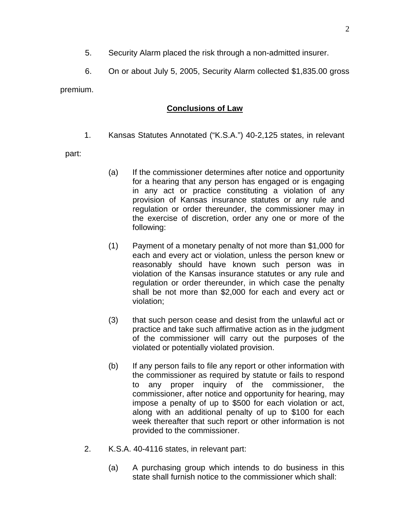- 5. Security Alarm placed the risk through a non-admitted insurer.
- 6. On or about July 5, 2005, Security Alarm collected \$1,835.00 gross

premium.

# **Conclusions of Law**

1. Kansas Statutes Annotated ("K.S.A.") 40-2,125 states, in relevant

part:

- (a) If the commissioner determines after notice and opportunity for a hearing that any person has engaged or is engaging in any act or practice constituting a violation of any provision of Kansas insurance statutes or any rule and regulation or order thereunder, the commissioner may in the exercise of discretion, order any one or more of the following:
- (1) Payment of a monetary penalty of not more than \$1,000 for each and every act or violation, unless the person knew or reasonably should have known such person was in violation of the Kansas insurance statutes or any rule and regulation or order thereunder, in which case the penalty shall be not more than \$2,000 for each and every act or violation;
- (3) that such person cease and desist from the unlawful act or practice and take such affirmative action as in the judgment of the commissioner will carry out the purposes of the violated or potentially violated provision.
- (b) If any person fails to file any report or other information with the commissioner as required by statute or fails to respond to any proper inquiry of the commissioner, the commissioner, after notice and opportunity for hearing, may impose a penalty of up to \$500 for each violation or act, along with an additional penalty of up to \$100 for each week thereafter that such report or other information is not provided to the commissioner.
- 2. K.S.A. 40-4116 states, in relevant part:
	- (a) A purchasing group which intends to do business in this state shall furnish notice to the commissioner which shall: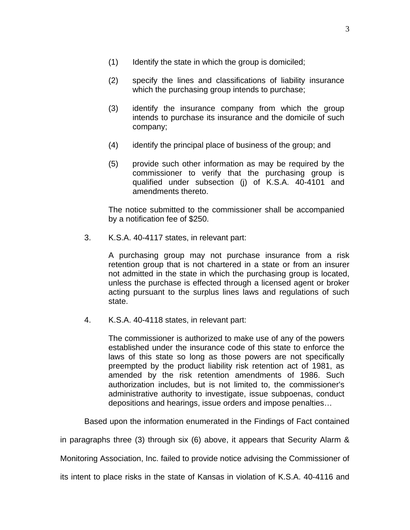- (1) Identify the state in which the group is domiciled;
- (2) specify the lines and classifications of liability insurance which the purchasing group intends to purchase;
- (3) identify the insurance company from which the group intends to purchase its insurance and the domicile of such company;
- (4) identify the principal place of business of the group; and
- (5) provide such other information as may be required by the commissioner to verify that the purchasing group is qualified under subsection (j) of K.S.A. 40-4101 and amendments thereto.

The notice submitted to the commissioner shall be accompanied by a notification fee of \$250.

3. K.S.A. 40-4117 states, in relevant part:

A purchasing group may not purchase insurance from a risk retention group that is not chartered in a state or from an insurer not admitted in the state in which the purchasing group is located, unless the purchase is effected through a licensed agent or broker acting pursuant to the surplus lines laws and regulations of such state.

4. K.S.A. 40-4118 states, in relevant part:

The commissioner is authorized to make use of any of the powers established under the insurance code of this state to enforce the laws of this state so long as those powers are not specifically preempted by the product liability risk retention act of 1981, as amended by the risk retention amendments of 1986. Such authorization includes, but is not limited to, the commissioner's administrative authority to investigate, issue subpoenas, conduct depositions and hearings, issue orders and impose penalties…

Based upon the information enumerated in the Findings of Fact contained

in paragraphs three (3) through six (6) above, it appears that Security Alarm &

Monitoring Association, Inc. failed to provide notice advising the Commissioner of

its intent to place risks in the state of Kansas in violation of K.S.A. 40-4116 and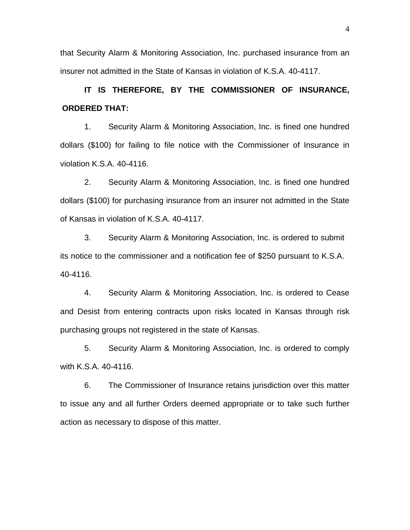that Security Alarm & Monitoring Association, Inc. purchased insurance from an insurer not admitted in the State of Kansas in violation of K.S.A. 40-4117.

**IT IS THEREFORE, BY THE COMMISSIONER OF INSURANCE, ORDERED THAT:** 

1. Security Alarm & Monitoring Association, Inc. is fined one hundred dollars (\$100) for failing to file notice with the Commissioner of Insurance in violation K.S.A. 40-4116.

 2. Security Alarm & Monitoring Association, Inc. is fined one hundred dollars (\$100) for purchasing insurance from an insurer not admitted in the State of Kansas in violation of K.S.A. 40-4117.

3. Security Alarm & Monitoring Association, Inc. is ordered to submit its notice to the commissioner and a notification fee of \$250 pursuant to K.S.A. 40-4116.

4. Security Alarm & Monitoring Association, Inc. is ordered to Cease and Desist from entering contracts upon risks located in Kansas through risk purchasing groups not registered in the state of Kansas.

 5. Security Alarm & Monitoring Association, Inc. is ordered to comply with K.S.A. 40-4116.

6. The Commissioner of Insurance retains jurisdiction over this matter to issue any and all further Orders deemed appropriate or to take such further action as necessary to dispose of this matter.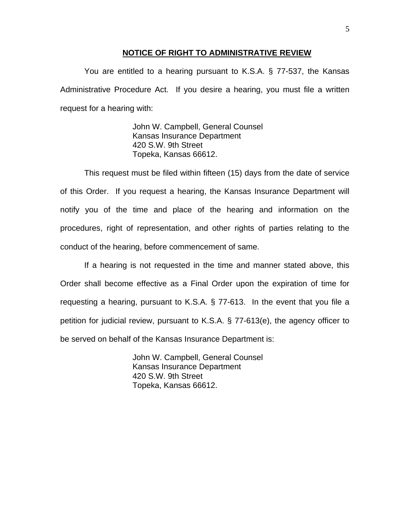### **NOTICE OF RIGHT TO ADMINISTRATIVE REVIEW**

You are entitled to a hearing pursuant to K.S.A. § 77-537, the Kansas Administrative Procedure Act. If you desire a hearing, you must file a written request for a hearing with:

> John W. Campbell, General Counsel Kansas Insurance Department 420 S.W. 9th Street Topeka, Kansas 66612.

This request must be filed within fifteen (15) days from the date of service of this Order. If you request a hearing, the Kansas Insurance Department will notify you of the time and place of the hearing and information on the procedures, right of representation, and other rights of parties relating to the conduct of the hearing, before commencement of same.

If a hearing is not requested in the time and manner stated above, this Order shall become effective as a Final Order upon the expiration of time for requesting a hearing, pursuant to K.S.A. § 77-613. In the event that you file a petition for judicial review, pursuant to K.S.A. § 77-613(e), the agency officer to be served on behalf of the Kansas Insurance Department is:

> John W. Campbell, General Counsel Kansas Insurance Department 420 S.W. 9th Street Topeka, Kansas 66612.